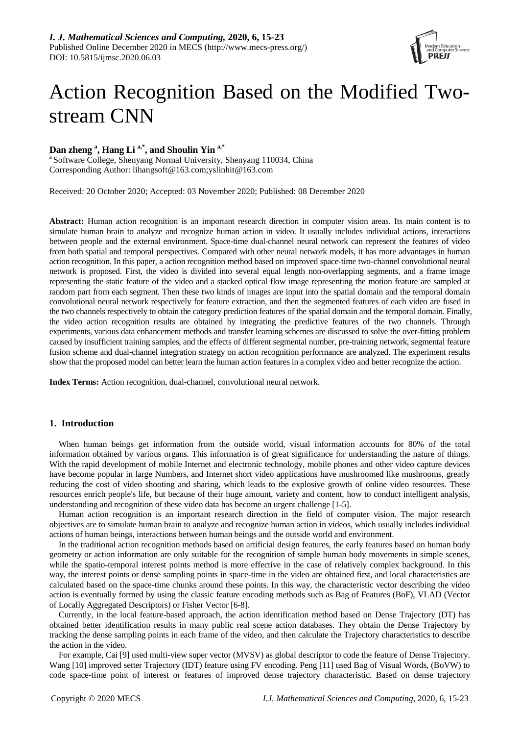

# Action Recognition Based on the Modified Twostream CNN

# **Dan zheng <sup>a</sup> , Hang Li a,\*, and Shoulin Yin a,\***

<sup>a</sup> Software College, Shenyang Normal University, Shenyang 110034, China Corresponding Author: lihangsoft@163.com;yslinhit@163.com

Received: 20 October 2020; Accepted: 03 November 2020; Published: 08 December 2020

**Abstract:** Human action recognition is an important research direction in computer vision areas. Its main content is to simulate human brain to analyze and recognize human action in video. It usually includes individual actions, interactions between people and the external environment. Space-time dual-channel neural network can represent the features of video from both spatial and temporal perspectives. Compared with other neural network models, it has more advantages in human action recognition. In this paper, a action recognition method based on improved space-time two-channel convolutional neural network is proposed. First, the video is divided into several equal length non-overlapping segments, and a frame image representing the static feature of the video and a stacked optical flow image representing the motion feature are sampled at random part from each segment. Then these two kinds of images are input into the spatial domain and the temporal domain convolutional neural network respectively for feature extraction, and then the segmented features of each video are fused in the two channels respectively to obtain the category prediction features of the spatial domain and the temporal domain. Finally, the video action recognition results are obtained by integrating the predictive features of the two channels. Through experiments, various data enhancement methods and transfer learning schemes are discussed to solve the over-fitting problem caused by insufficient training samples, and the effects of different segmental number, pre-training network, segmental feature fusion scheme and dual-channel integration strategy on action recognition performance are analyzed. The experiment results show that the proposed model can better learn the human action features in a complex video and better recognize the action.

**Index Terms:** Action recognition, dual-channel, convolutional neural network.

# **1. Introduction**

When human beings get information from the outside world, visual information accounts for 80% of the total information obtained by various organs. This information is of great significance for understanding the nature of things. With the rapid development of mobile Internet and electronic technology, mobile phones and other video capture devices have become popular in large Numbers, and Internet short video applications have mushroomed like mushrooms, greatly reducing the cost of video shooting and sharing, which leads to the explosive growth of online video resources. These resources enrich people's life, but because of their huge amount, variety and content, how to conduct intelligent analysis, understanding and recognition of these video data has become an urgent challenge [1-5].

Human action recognition is an important research direction in the field of computer vision. The major research objectives are to simulate human brain to analyze and recognize human action in videos, which usually includes individual actions of human beings, interactions between human beings and the outside world and environment.

In the traditional action recognition methods based on artificial design features, the early features based on human body geometry or action information are only suitable for the recognition of simple human body movements in simple scenes, while the spatio-temporal interest points method is more effective in the case of relatively complex background. In this way, the interest points or dense sampling points in space-time in the video are obtained first, and local characteristics are calculated based on the space-time chunks around these points. In this way, the characteristic vector describing the video action is eventually formed by using the classic feature encoding methods such as Bag of Features (BoF), VLAD (Vector of Locally Aggregated Descriptors) or Fisher Vector [6-8].

Currently, in the local feature-based approach, the action identification method based on Dense Trajectory (DT) has obtained better identification results in many public real scene action databases. They obtain the Dense Trajectory by tracking the dense sampling points in each frame of the video, and then calculate the Trajectory characteristics to describe the action in the video.

For example, Cai [9] used multi-view super vector (MVSV) as global descriptor to code the feature of Dense Trajectory. Wang [10] improved setter Trajectory (IDT) feature using FV encoding. Peng [11] used Bag of Visual Words, (BoVW) to code space-time point of interest or features of improved dense trajectory characteristic. Based on dense trajectory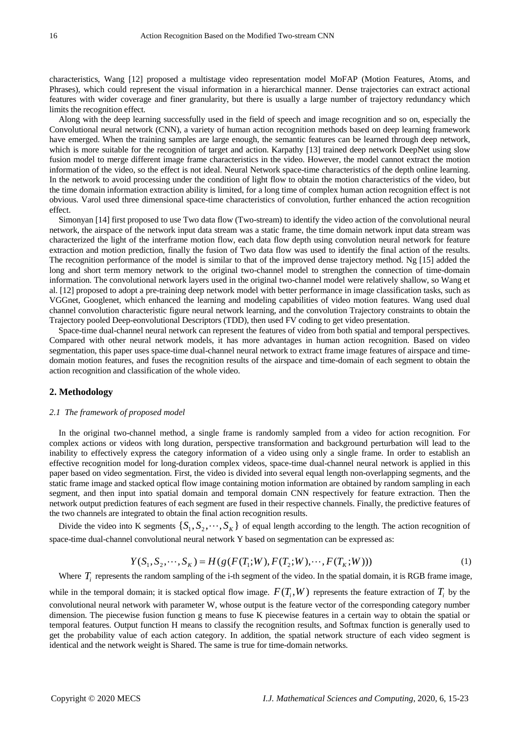characteristics, Wang [12] proposed a multistage video representation model MoFAP (Motion Features, Atoms, and Phrases), which could represent the visual information in a hierarchical manner. Dense trajectories can extract actional features with wider coverage and finer granularity, but there is usually a large number of trajectory redundancy which limits the recognition effect.

Along with the deep learning successfully used in the field of speech and image recognition and so on, especially the Convolutional neural network (CNN), a variety of human action recognition methods based on deep learning framework have emerged. When the training samples are large enough, the semantic features can be learned through deep network, which is more suitable for the recognition of target and action. Karpathy [13] trained deep network DeepNet using slow fusion model to merge different image frame characteristics in the video. However, the model cannot extract the motion information of the video, so the effect is not ideal. Neural Network space-time characteristics of the depth online learning. In the network to avoid processing under the condition of light flow to obtain the motion characteristics of the video, but the time domain information extraction ability is limited, for a long time of complex human action recognition effect is not obvious. Varol used three dimensional space-time characteristics of convolution, further enhanced the action recognition effect.

Simonyan [14] first proposed to use Two data flow (Two-stream) to identify the video action of the convolutional neural network, the airspace of the network input data stream was a static frame, the time domain network input data stream was characterized the light of the interframe motion flow, each data flow depth using convolution neural network for feature extraction and motion prediction, finally the fusion of Two data flow was used to identify the final action of the results. The recognition performance of the model is similar to that of the improved dense trajectory method. Ng [15] added the long and short term memory network to the original two-channel model to strengthen the connection of time-domain information. The convolutional network layers used in the original two-channel model were relatively shallow, so Wang et al. [12] proposed to adopt a pre-training deep network model with better performance in image classification tasks, such as VGGnet, Googlenet, which enhanced the learning and modeling capabilities of video motion features. Wang used dual channel convolution characteristic figure neural network learning, and the convolution Trajectory constraints to obtain the Trajectory pooled Deep-eonvolutional Descriptors (TDD), then used FV coding to get video presentation.

Space-time dual-channel neural network can represent the features of video from both spatial and temporal perspectives. Compared with other neural network models, it has more advantages in human action recognition. Based on video segmentation, this paper uses space-time dual-channel neural network to extract frame image features of airspace and timedomain motion features, and fuses the recognition results of the airspace and time-domain of each segment to obtain the action recognition and classification of the whole video.

# **2. Methodology**

#### *2.1 The framework of proposed model*

In the original two-channel method, a single frame is randomly sampled from a video for action recognition. For complex actions or videos with long duration, perspective transformation and background perturbation will lead to the inability to effectively express the category information of a video using only a single frame. In order to establish an effective recognition model for long-duration complex videos, space-time dual-channel neural network is applied in this paper based on video segmentation. First, the video is divided into several equal length non-overlapping segments, and the static frame image and stacked optical flow image containing motion information are obtained by random sampling in each segment, and then input into spatial domain and temporal domain CNN respectively for feature extraction. Then the network output prediction features of each segment are fused in their respective channels. Finally, the predictive features of the two channels are integrated to obtain the final action recognition results.

Divide the video into K segments  $\{S_1, S_2, \dots, S_K\}$  of equal length according to the length. The action recognition of space-time dual-channel convolutional neural network Y based on segmentation can be expressed as:

$$
Y(S_1, S_2, \cdots, S_K) = H(g(F(T_1; W), F(T_2; W), \cdots, F(T_K; W)))
$$
\n(1)

Where  $T_i$  represents the random sampling of the i-th segment of the video. In the spatial domain, it is RGB frame image,

while in the temporal domain; it is stacked optical flow image.  $F(T_i, W)$  represents the feature extraction of  $T_i$  by the convolutional neural network with parameter W, whose output is the feature vector of the corresponding category number dimension. The piecewise fusion function g means to fuse K piecewise features in a certain way to obtain the spatial or temporal features. Output function H means to classify the recognition results, and Softmax function is generally used to get the probability value of each action category. In addition, the spatial network structure of each video segment is identical and the network weight is Shared. The same is true for time-domain networks.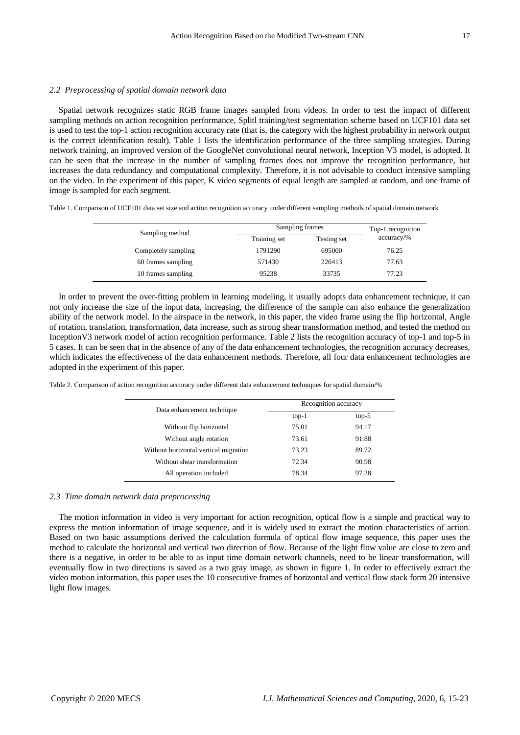### *2.2 Preprocessing of spatial domain network data*

Spatial network recognizes static RGB frame images sampled from videos. In order to test the impact of different sampling methods on action recognition performance, Splitl training/test segmentation scheme based on UCF101 data set is used to test the top-1 action recognition accuracy rate (that is, the category with the highest probability in network output is the correct identification result). Table 1 lists the identification performance of the three sampling strategies. During network training, an improved version of the GoogleNet convolutional neural network, Inception V3 model, is adopted. It can be seen that the increase in the number of sampling frames does not improve the recognition performance, but increases the data redundancy and computational complexity. Therefore, it is not advisable to conduct intensive sampling on the video. In the experiment of this paper, K video segments of equal length are sampled at random, and one frame of image is sampled for each segment.

Table 1. Comparison of UCF101 data set size and action recognition accuracy under different sampling methods of spatial domain network

| Sampling method     |              | Sampling frames |              |  |
|---------------------|--------------|-----------------|--------------|--|
|                     | Training set | Testing set     | $accuracy\%$ |  |
| Completely sampling | 1791290      | 695000          | 76.25        |  |
| 60 frames sampling  | 571430       | 226413          | 77.63        |  |
| 10 frames sampling  | 95238        | 33735           | 77.23        |  |

In order to prevent the over-fitting problem in learning modeling, it usually adopts data enhancement technique, it can not only increase the size of the input data, increasing, the difference of the sample can also enhance the generalization ability of the network model. In the airspace in the network, in this paper, the video frame using the flip horizontal, Angle of rotation, translation, transformation, data increase, such as strong shear transformation method, and tested the method on InceptionV3 network model of action recognition performance. Table 2 lists the recognition accuracy of top-1 and top-5 in 5 cases. It can be seen that in the absence of any of the data enhancement technologies, the recognition accuracy decreases, which indicates the effectiveness of the data enhancement methods. Therefore, all four data enhancement technologies are adopted in the experiment of this paper.

Table 2. Comparison of action recognition accuracy under different data enhancement techniques for spatial domain/%

| Data enhancement technique            | Recognition accuracy |         |
|---------------------------------------|----------------------|---------|
|                                       | $top-1$              | $top-5$ |
| Without flip horizontal               | 75.01                | 94.17   |
| Without angle rotation                | 73.61                | 91.88   |
| Without horizontal vertical migration | 73.23                | 89.72   |
| Without shear transformation          | 72.34                | 90.98   |
| All operation included                | 78.34                | 97.28   |

#### *2.3 Time domain network data preprocessing*

The motion information in video is very important for action recognition, optical flow is a simple and practical way to express the motion information of image sequence, and it is widely used to extract the motion characteristics of action. Based on two basic assumptions derived the calculation formula of optical flow image sequence, this paper uses the method to calculate the horizontal and vertical two direction of flow. Because of the light flow value are close to zero and there is a negative, in order to be able to as input time domain network channels, need to be linear transformation, will eventually flow in two directions is saved as a two gray image, as shown in figure 1. In order to effectively extract the video motion information, this paper uses the 10 consecutive frames of horizontal and vertical flow stack form 20 intensive light flow images.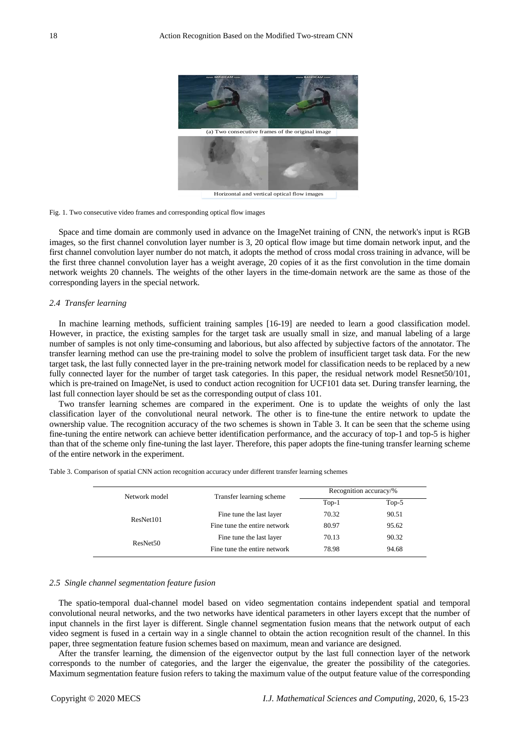

Fig. 1. Two consecutive video frames and corresponding optical flow images

Space and time domain are commonly used in advance on the ImageNet training of CNN, the network's input is RGB images, so the first channel convolution layer number is 3, 20 optical flow image but time domain network input, and the first channel convolution layer number do not match, it adopts the method of cross modal cross training in advance, will be the first three channel convolution layer has a weight average, 20 copies of it as the first convolution in the time domain network weights 20 channels. The weights of the other layers in the time-domain network are the same as those of the corresponding layers in the special network.

# *2.4 Transfer learning*

In machine learning methods, sufficient training samples [16-19] are needed to learn a good classification model. However, in practice, the existing samples for the target task are usually small in size, and manual labeling of a large number of samples is not only time-consuming and laborious, but also affected by subjective factors of the annotator. The transfer learning method can use the pre-training model to solve the problem of insufficient target task data. For the new target task, the last fully connected layer in the pre-training network model for classification needs to be replaced by a new fully connected layer for the number of target task categories. In this paper, the residual network model Resnet50/101, which is pre-trained on ImageNet, is used to conduct action recognition for UCF101 data set. During transfer learning, the last full connection layer should be set as the corresponding output of class 101.

Two transfer learning schemes are compared in the experiment. One is to update the weights of only the last classification layer of the convolutional neural network. The other is to fine-tune the entire network to update the ownership value. The recognition accuracy of the two schemes is shown in Table 3. It can be seen that the scheme using fine-tuning the entire network can achieve better identification performance, and the accuracy of top-1 and top-5 is higher than that of the scheme only fine-tuning the last layer. Therefore, this paper adopts the fine-tuning transfer learning scheme of the entire network in the experiment.

Table 3. Comparison of spatial CNN action recognition accuracy under different transfer learning schemes

| Network model        | Transfer learning scheme     | Recognition accuracy/% |         |
|----------------------|------------------------------|------------------------|---------|
|                      |                              | $Top-1$                | $Top-5$ |
| ResNet101            | Fine tune the last layer     | 70.32                  | 90.51   |
|                      | Fine tune the entire network | 80.97                  | 95.62   |
| ResNet <sub>50</sub> | Fine tune the last layer     | 70.13                  | 90.32   |
|                      | Fine tune the entire network | 78.98                  | 94.68   |

## *2.5 Single channel segmentation feature fusion*

The spatio-temporal dual-channel model based on video segmentation contains independent spatial and temporal convolutional neural networks, and the two networks have identical parameters in other layers except that the number of input channels in the first layer is different. Single channel segmentation fusion means that the network output of each video segment is fused in a certain way in a single channel to obtain the action recognition result of the channel. In this paper, three segmentation feature fusion schemes based on maximum, mean and variance are designed.

After the transfer learning, the dimension of the eigenvector output by the last full connection layer of the network corresponds to the number of categories, and the larger the eigenvalue, the greater the possibility of the categories. Maximum segmentation feature fusion refers to taking the maximum value of the output feature value of the corresponding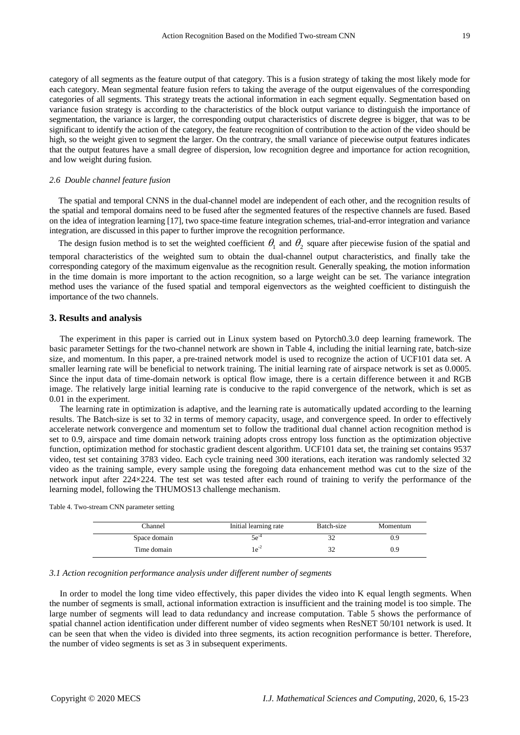category of all segments as the feature output of that category. This is a fusion strategy of taking the most likely mode for each category. Mean segmental feature fusion refers to taking the average of the output eigenvalues of the corresponding categories of all segments. This strategy treats the actional information in each segment equally. Segmentation based on variance fusion strategy is according to the characteristics of the block output variance to distinguish the importance of segmentation, the variance is larger, the corresponding output characteristics of discrete degree is bigger, that was to be significant to identify the action of the category, the feature recognition of contribution to the action of the video should be high, so the weight given to segment the larger. On the contrary, the small variance of piecewise output features indicates that the output features have a small degree of dispersion, low recognition degree and importance for action recognition, and low weight during fusion.

# *2.6 Double channel feature fusion*

The spatial and temporal CNNS in the dual-channel model are independent of each other, and the recognition results of the spatial and temporal domains need to be fused after the segmented features of the respective channels are fused. Based on the idea of integration learning [17], two space-time feature integration schemes, trial-and-error integration and variance integration, are discussed in this paper to further improve the recognition performance.

The design fusion method is to set the weighted coefficient  $\theta_1$  and  $\theta_2$  square after piecewise fusion of the spatial and

temporal characteristics of the weighted sum to obtain the dual-channel output characteristics, and finally take the corresponding category of the maximum eigenvalue as the recognition result. Generally speaking, the motion information in the time domain is more important to the action recognition, so a large weight can be set. The variance integration method uses the variance of the fused spatial and temporal eigenvectors as the weighted coefficient to distinguish the importance of the two channels.

### **3. Results and analysis**

The experiment in this paper is carried out in Linux system based on Pytorch0.3.0 deep learning framework. The basic parameter Settings for the two-channel network are shown in Table 4, including the initial learning rate, batch-size size, and momentum. In this paper, a pre-trained network model is used to recognize the action of UCF101 data set. A smaller learning rate will be beneficial to network training. The initial learning rate of airspace network is set as 0.0005. Since the input data of time-domain network is optical flow image, there is a certain difference between it and RGB image. The relatively large initial learning rate is conducive to the rapid convergence of the network, which is set as 0.01 in the experiment.

The learning rate in optimization is adaptive, and the learning rate is automatically updated according to the learning results. The Batch-size is set to 32 in terms of memory capacity, usage, and convergence speed. In order to effectively accelerate network convergence and momentum set to follow the traditional dual channel action recognition method is set to 0.9, airspace and time domain network training adopts cross entropy loss function as the optimization objective function, optimization method for stochastic gradient descent algorithm. UCF101 data set, the training set contains 9537 video, test set containing 3783 video. Each cycle training need 300 iterations, each iteration was randomly selected 32 video as the training sample, every sample using the foregoing data enhancement method was cut to the size of the network input after 224×224. The test set was tested after each round of training to verify the performance of the learning model, following the THUMOS13 challenge mechanism.

| Table 4. Two-stream CNN parameter setting |  |  |  |
|-------------------------------------------|--|--|--|
|-------------------------------------------|--|--|--|

| Channel      | Initial learning rate | Batch-size | Momentum |
|--------------|-----------------------|------------|----------|
| Space domain | $5e^{-4}$             | ◡          | J.Y      |
| Time domain  |                       |            | 0.9      |

### *3.1 Action recognition performance analysis under different number of segments*

In order to model the long time video effectively, this paper divides the video into K equal length segments. When the number of segments is small, actional information extraction is insufficient and the training model is too simple. The large number of segments will lead to data redundancy and increase computation. Table 5 shows the performance of spatial channel action identification under different number of video segments when ResNET 50/101 network is used. It can be seen that when the video is divided into three segments, its action recognition performance is better. Therefore, the number of video segments is set as 3 in subsequent experiments.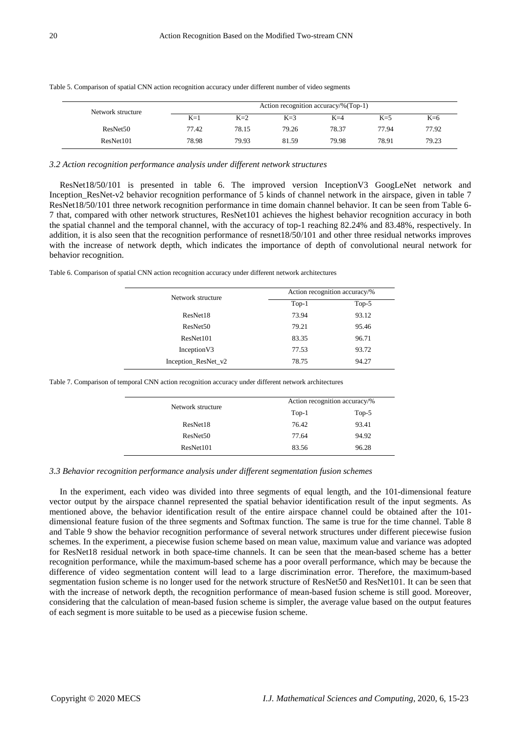| Network structure    |       |       | Action recognition accuracy/%(Top-1) |       |       |       |
|----------------------|-------|-------|--------------------------------------|-------|-------|-------|
|                      | $K=1$ | $K=2$ | $K=3$                                | $K=4$ | $K=5$ | $K=6$ |
| ResNet <sub>50</sub> | 77.42 | 78.15 | 79.26                                | 78.37 | 77.94 | 77.92 |
| ResNet101            | 78.98 | 79.93 | 81.59                                | 79.98 | 78.91 | 79.23 |

Table 5. Comparison of spatial CNN action recognition accuracy under different number of video segments

# *3.2 Action recognition performance analysis under different network structures*

ResNet18/50/101 is presented in table 6. The improved version InceptionV3 GoogLeNet network and Inception\_ResNet-v2 behavior recognition performance of  $\bar{5}$  kinds of channel network in the airspace, given in table 7 ResNet18/50/101 three network recognition performance in time domain channel behavior. It can be seen from Table 6- 7 that, compared with other network structures, ResNet101 achieves the highest behavior recognition accuracy in both the spatial channel and the temporal channel, with the accuracy of top-1 reaching 82.24% and 83.48%, respectively. In addition, it is also seen that the recognition performance of resnet18/50/101 and other three residual networks improves with the increase of network depth, which indicates the importance of depth of convolutional neural network for behavior recognition.

Table 6. Comparison of spatial CNN action recognition accuracy under different network architectures

| Network structure    | Action recognition accuracy/% |         |  |
|----------------------|-------------------------------|---------|--|
|                      | $Top-1$                       | $Top-5$ |  |
| ResNet18             | 73.94                         | 93.12   |  |
| ResNet <sub>50</sub> | 79.21                         | 95.46   |  |
| ResNet101            | 83.35                         | 96.71   |  |
| Inception V3         | 77.53                         | 93.72   |  |
| Inception_ResNet_v2  | 78.75                         | 94.27   |  |

Table 7. Comparison of temporal CNN action recognition accuracy under different network architectures

| Network structure    | Action recognition accuracy/% |         |
|----------------------|-------------------------------|---------|
|                      | $Top-1$                       | $Top-5$ |
| ResNet18             | 76.42                         | 93.41   |
| ResNet <sub>50</sub> | 77.64                         | 94.92   |
| ResNet101            | 83.56                         | 96.28   |

### *3.3 Behavior recognition performance analysis under different segmentation fusion schemes*

In the experiment, each video was divided into three segments of equal length, and the 101-dimensional feature vector output by the airspace channel represented the spatial behavior identification result of the input segments. As mentioned above, the behavior identification result of the entire airspace channel could be obtained after the 101 dimensional feature fusion of the three segments and Softmax function. The same is true for the time channel. Table 8 and Table 9 show the behavior recognition performance of several network structures under different piecewise fusion schemes. In the experiment, a piecewise fusion scheme based on mean value, maximum value and variance was adopted for ResNet18 residual network in both space-time channels. It can be seen that the mean-based scheme has a better recognition performance, while the maximum-based scheme has a poor overall performance, which may be because the difference of video segmentation content will lead to a large discrimination error. Therefore, the maximum-based segmentation fusion scheme is no longer used for the network structure of ResNet50 and ResNet101. It can be seen that with the increase of network depth, the recognition performance of mean-based fusion scheme is still good. Moreover, considering that the calculation of mean-based fusion scheme is simpler, the average value based on the output features of each segment is more suitable to be used as a piecewise fusion scheme.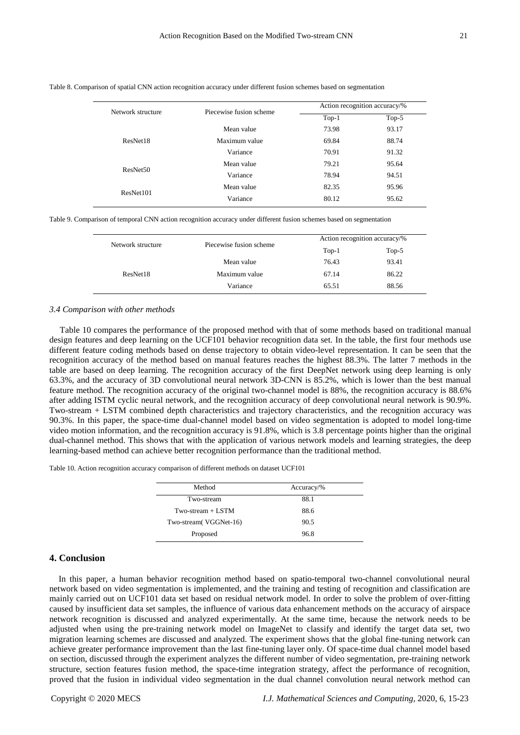| Network structure    | Piecewise fusion scheme | Action recognition accuracy/% |         |  |
|----------------------|-------------------------|-------------------------------|---------|--|
|                      |                         | $Top-1$                       | $Top-5$ |  |
|                      | Mean value              | 73.98                         | 93.17   |  |
| ResNet18             | Maximum value           | 69.84                         | 88.74   |  |
|                      | Variance                | 70.91                         | 91.32   |  |
| ResNet <sub>50</sub> | Mean value              | 79.21                         | 95.64   |  |
|                      | Variance                | 78.94                         | 94.51   |  |
| ResNet101            | Mean value              | 82.35                         | 95.96   |  |
|                      | Variance                | 80.12                         | 95.62   |  |
|                      |                         |                               |         |  |

Table 8. Comparison of spatial CNN action recognition accuracy under different fusion schemes based on segmentation

Table 9. Comparison of temporal CNN action recognition accuracy under different fusion schemes based on segmentation

| Network structure | Piecewise fusion scheme | Action recognition accuracy/% |         |  |
|-------------------|-------------------------|-------------------------------|---------|--|
|                   |                         | $Top-1$                       | $Top-5$ |  |
|                   | Mean value              | 76.43                         | 93.41   |  |
| ResNet18          | Maximum value           | 67.14                         | 86.22   |  |
|                   | Variance                | 65.51                         | 88.56   |  |
|                   |                         |                               |         |  |

#### *3.4 Comparison with other methods*

Table 10 compares the performance of the proposed method with that of some methods based on traditional manual design features and deep learning on the UCF101 behavior recognition data set. In the table, the first four methods use different feature coding methods based on dense trajectory to obtain video-level representation. It can be seen that the recognition accuracy of the method based on manual features reaches the highest 88.3%. The latter 7 methods in the table are based on deep learning. The recognition accuracy of the first DeepNet network using deep learning is only 63.3%, and the accuracy of 3D convolutional neural network 3D-CNN is 85.2%, which is lower than the best manual feature method. The recognition accuracy of the original two-channel model is 88%, the recognition accuracy is 88.6% after adding ISTM cyclic neural network, and the recognition accuracy of deep convolutional neural network is 90.9%. Two-stream + LSTM combined depth characteristics and trajectory characteristics, and the recognition accuracy was 90.3%. In this paper, the space-time dual-channel model based on video segmentation is adopted to model long-time video motion information, and the recognition accuracy is 91.8%, which is 3.8 percentage points higher than the original dual-channel method. This shows that with the application of various network models and learning strategies, the deep learning-based method can achieve better recognition performance than the traditional method.

Table 10. Action recognition accuracy comparison of different methods on dataset UCF101

| Method                 | $Accuracy\%$ |  |
|------------------------|--------------|--|
| Two-stream             | 88.1         |  |
| $Two-stream + LSTM$    | 88.6         |  |
| Two-stream (VGGNet-16) | 90.5         |  |
| Proposed               | 96.8         |  |

# **4. Conclusion**

In this paper, a human behavior recognition method based on spatio-temporal two-channel convolutional neural network based on video segmentation is implemented, and the training and testing of recognition and classification are mainly carried out on UCF101 data set based on residual network model. In order to solve the problem of over-fitting caused by insufficient data set samples, the influence of various data enhancement methods on the accuracy of airspace network recognition is discussed and analyzed experimentally. At the same time, because the network needs to be adjusted when using the pre-training network model on ImageNet to classify and identify the target data set, two migration learning schemes are discussed and analyzed. The experiment shows that the global fine-tuning network can achieve greater performance improvement than the last fine-tuning layer only. Of space-time dual channel model based on section, discussed through the experiment analyzes the different number of video segmentation, pre-training network structure, section features fusion method, the space-time integration strategy, affect the performance of recognition, proved that the fusion in individual video segmentation in the dual channel convolution neural network method can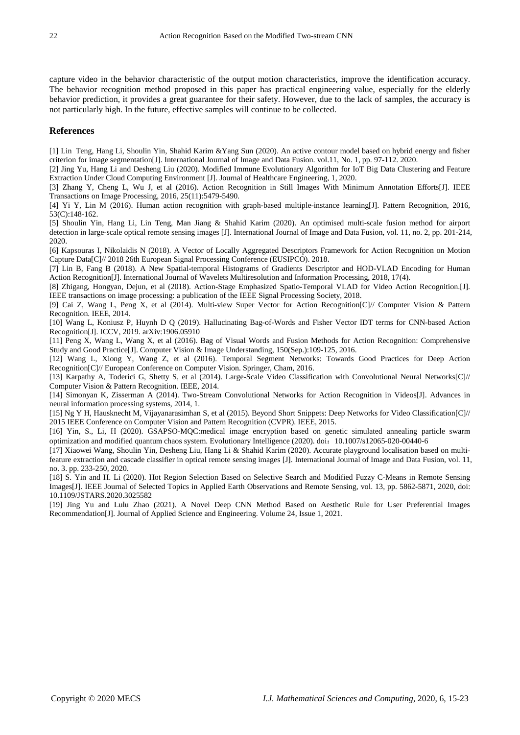capture video in the behavior characteristic of the output motion characteristics, improve the identification accuracy. The behavior recognition method proposed in this paper has practical engineering value, especially for the elderly behavior prediction, it provides a great guarantee for their safety. However, due to the lack of samples, the accuracy is not particularly high. In the future, effective samples will continue to be collected.

# **References**

[1] Lin Teng, Hang Li, Shoulin Yin, Shahid Karim &Yang Sun (2020). An active contour model based on hybrid energy and fisher criterion for image segmentation[J]. International Journal of Image and Data Fusion. vol.11, No. 1, pp. 97-112. 2020.

[2] Jing Yu, Hang Li and Desheng Liu (2020). Modified Immune Evolutionary Algorithm for IoT Big Data Clustering and Feature Extraction Under Cloud Computing Environment [J]. Journal of Healthcare Engineering, 1, 2020.

[3] Zhang Y, Cheng L, Wu J, et al (2016). Action Recognition in Still Images With Minimum Annotation Efforts[J]. IEEE Transactions on Image Processing, 2016, 25(11):5479-5490.

[4] Yi Y, Lin M (2016). Human action recognition with graph-based multiple-instance learning[J]. Pattern Recognition, 2016, 53(C):148-162.

[5] Shoulin Yin, Hang Li, Lin Teng, Man Jiang & Shahid Karim (2020). An optimised multi-scale fusion method for airport detection in large-scale optical remote sensing images [J]. International Journal of Image and Data Fusion, vol. 11, no. 2, pp. 201-214, 2020.

[6] Kapsouras I, Nikolaidis N (2018). A Vector of Locally Aggregated Descriptors Framework for Action Recognition on Motion Capture Data[C]// 2018 26th European Signal Processing Conference (EUSIPCO). 2018.

[7] Lin B, Fang B (2018). A New Spatial-temporal Histograms of Gradients Descriptor and HOD-VLAD Encoding for Human Action Recognition[J]. International Journal of Wavelets Multiresolution and Information Processing, 2018, 17(4).

[8] Zhigang, Hongyan, Dejun, et al (2018). Action-Stage Emphasized Spatio-Temporal VLAD for Video Action Recognition.[J]. IEEE transactions on image processing: a publication of the IEEE Signal Processing Society, 2018.

[9] Cai Z, Wang L, Peng X, et al (2014). Multi-view Super Vector for Action Recognition[C]// Computer Vision & Pattern Recognition. IEEE, 2014.

[10] Wang L, Koniusz P, Huynh D Q (2019). Hallucinating Bag-of-Words and Fisher Vector IDT terms for CNN-based Action Recognition[J]. ICCV, 2019. arXiv:1906.05910

[11] Peng X, Wang L, Wang X, et al (2016). Bag of Visual Words and Fusion Methods for Action Recognition: Comprehensive Study and Good Practice[J]. Computer Vision & Image Understanding, 150(Sep.):109-125, 2016.

[12] Wang L, Xiong Y, Wang Z, et al (2016). Temporal Segment Networks: Towards Good Practices for Deep Action Recognition[C]// European Conference on Computer Vision. Springer, Cham, 2016.

[13] Karpathy A, Toderici G, Shetty S, et al (2014). Large-Scale Video Classification with Convolutional Neural Networks[C]// Computer Vision & Pattern Recognition. IEEE, 2014.

[14] Simonyan K, Zisserman A (2014). Two-Stream Convolutional Networks for Action Recognition in Videos[J]. Advances in neural information processing systems, 2014, 1.

[15] Ng Y H, Hausknecht M, Vijayanarasimhan S, et al (2015). Beyond Short Snippets: Deep Networks for Video Classification[C]// 2015 IEEE Conference on Computer Vision and Pattern Recognition (CVPR). IEEE, 2015.

[16] Yin, S., Li, H (2020). GSAPSO-MQC:medical image encryption based on genetic simulated annealing particle swarm optimization and modified quantum chaos system. Evolutionary Intelligence (2020). doi:10.1007/s12065-020-00440-6

[17] Xiaowei Wang, Shoulin Yin, Desheng Liu, Hang Li & Shahid Karim (2020). Accurate playground localisation based on multifeature extraction and cascade classifier in optical remote sensing images [J]. International Journal of Image and Data Fusion, vol. 11, no. 3. pp. 233-250, 2020.

[18] S. Yin and H. Li (2020). Hot Region Selection Based on Selective Search and Modified Fuzzy C-Means in Remote Sensing Images[J]. IEEE Journal of Selected Topics in Applied Earth Observations and Remote Sensing, vol. 13, pp. 5862-5871, 2020, doi: 10.1109/JSTARS.2020.3025582

[19] Jing Yu and Lulu Zhao (2021). A Novel Deep CNN Method Based on Aesthetic Rule for User Preferential Images Recommendation[J]. Journal of Applied Science and Engineering. Volume 24, Issue 1, 2021.